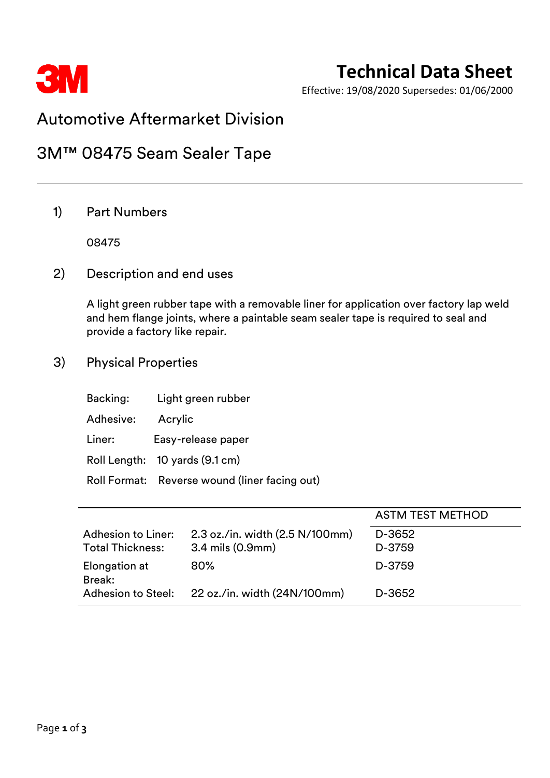

# **Technical Data Sheet**

Effective: 19/08/2020 Supersedes: 01/06/2000

## Automotive Aftermarket Division

## 3M™ 08475 Seam Sealer Tape

### 1) Part Numbers

08475

2) Description and end uses

A light green rubber tape with a removable liner for application over factory lap weld and hem flange joints, where a paintable seam sealer tape is required to seal and provide a factory like repair.

3) Physical Properties

| Backing:  | Light green rubber                            |
|-----------|-----------------------------------------------|
| Adhesive: | Acrylic                                       |
| Liner:    | Easy-release paper                            |
|           | Roll Length: 10 yards (9.1 cm)                |
|           | Roll Format: Reverse wound (liner facing out) |

|                           |                                 | <b>ASTM TEST METHOD</b> |
|---------------------------|---------------------------------|-------------------------|
| Adhesion to Liner:        | 2.3 oz./in. width (2.5 N/100mm) | D-3652                  |
| <b>Total Thickness:</b>   | 3.4 mils (0.9mm)                | D-3759                  |
| Elongation at<br>Break:   | 80%                             | D-3759                  |
| <b>Adhesion to Steel:</b> | 22 oz./in. width (24N/100mm)    | D-3652                  |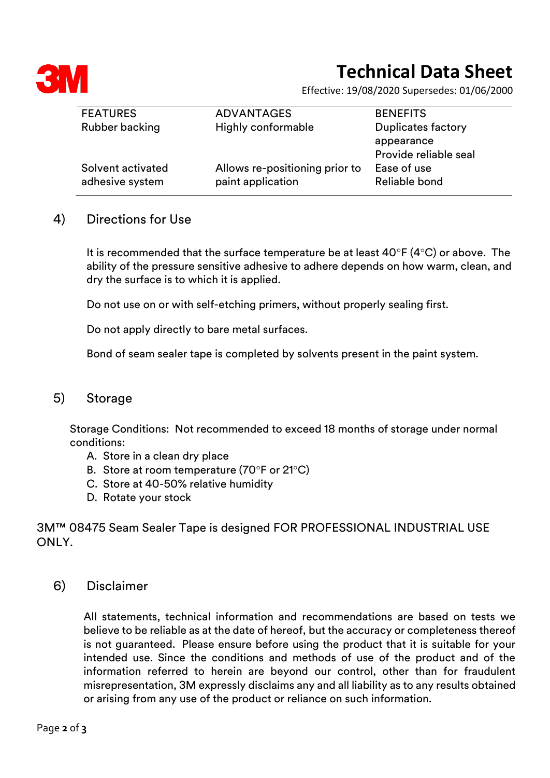

# **Technical Data Sheet**

Effective: 19/08/2020 Supersedes: 01/06/2000

| <b>BENEFITS</b>           |
|---------------------------|
| <b>Duplicates factory</b> |
| appearance                |
| Provide reliable seal     |
| Ease of use               |
| Reliable bond             |
|                           |

#### 4) Directions for Use

It is recommended that the surface temperature be at least  $40^{\circ}F (4^{\circ}C)$  or above. The ability of the pressure sensitive adhesive to adhere depends on how warm, clean, and dry the surface is to which it is applied.

Do not use on or with self-etching primers, without properly sealing first.

Do not apply directly to bare metal surfaces.

Bond of seam sealer tape is completed by solvents present in the paint system.

#### 5) Storage

Storage Conditions: Not recommended to exceed 18 months of storage under normal conditions:

- A. Store in a clean dry place
- B. Store at room temperature  $(70^{\circ}$ F or 21 $^{\circ}$ C)
- C. Store at 40-50% relative humidity
- D. Rotate your stock

3M™ 08475 Seam Sealer Tape is designed FOR PROFESSIONAL INDUSTRIAL USE ONLY.

6) Disclaimer

All statements, technical information and recommendations are based on tests we believe to be reliable as at the date of hereof, but the accuracy or completeness thereof is not guaranteed. Please ensure before using the product that it is suitable for your intended use. Since the conditions and methods of use of the product and of the information referred to herein are beyond our control, other than for fraudulent misrepresentation, 3M expressly disclaims any and all liability as to any results obtained or arising from any use of the product or reliance on such information.